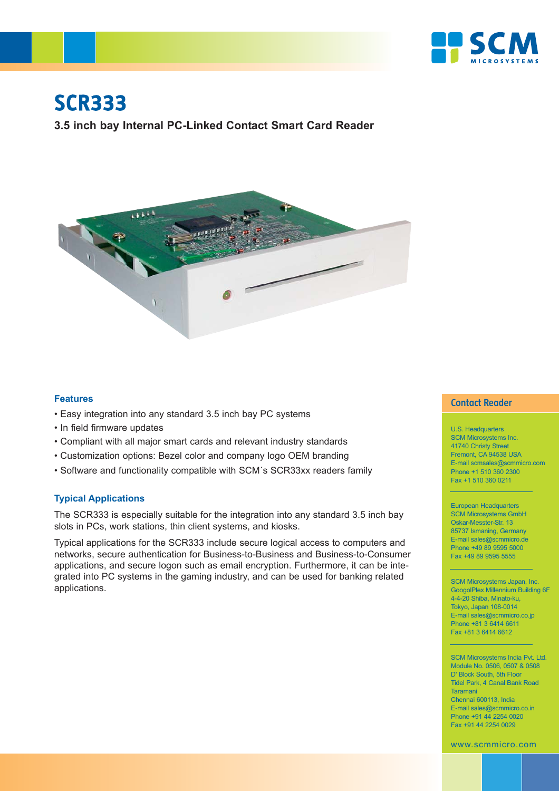

# **SCR333**

**3.5 inch bay Internal PC-Linked Contact Smart Card Reader**



#### **Features**

- Easy integration into any standard 3.5 inch bay PC systems
- In field firmware updates
- Compliant with all major smart cards and relevant industry standards
- Customization options: Bezel color and company logo OEM branding
- Software and functionality compatible with SCM´s SCR33xx readers family

### **Typical Applications**

The SCR333 is especially suitable for the integration into any standard 3.5 inch bay slots in PCs, work stations, thin client systems, and kiosks.

Typical applications for the SCR333 include secure logical access to computers and networks, secure authentication for Business-to-Business and Business-to-Consumer applications, and secure logon such as email encryption. Furthermore, it can be integrated into PC systems in the gaming industry, and can be used for banking related applications.

# **Contact Reader**

U.S. Headquarters SCM Microsystems Inc. 41740 Christy Street Fremont, CA 94538 USA E-mail scmsales@scmmicro.com Phone +1 510 360 2300 Fax +1 510 360 0211

European Headquarters SCM Microsystems GmbH Oskar-Messter-Str. 13 85737 Ismaning, Germany E-mail sales@scmmicro.de Phone +49 89 9595 5000 Fax +49 89 9595 5555

SCM Microsystems Japan, Inc. GoogolPlex Millennium Building 6F 4-4-20 Shiba, Minato-ku, Tokyo, Japan 108-0014 E-mail sales@scmmicro.co.jp Phone +81 3 6414 6611 Fax +81 3 6414 6612

SCM Microsystems India Pvt. Ltd. Module No. 0506, 0507 & 0508 D' Block South, 5th Floor Tidel Park, 4 Canal Bank Road Taramani Chennai 600113, India E-mail sales@scmmicro.co.in Phone +91 44 2254 0020 Fax +91 44 2254 0029

www.scmmicro.com